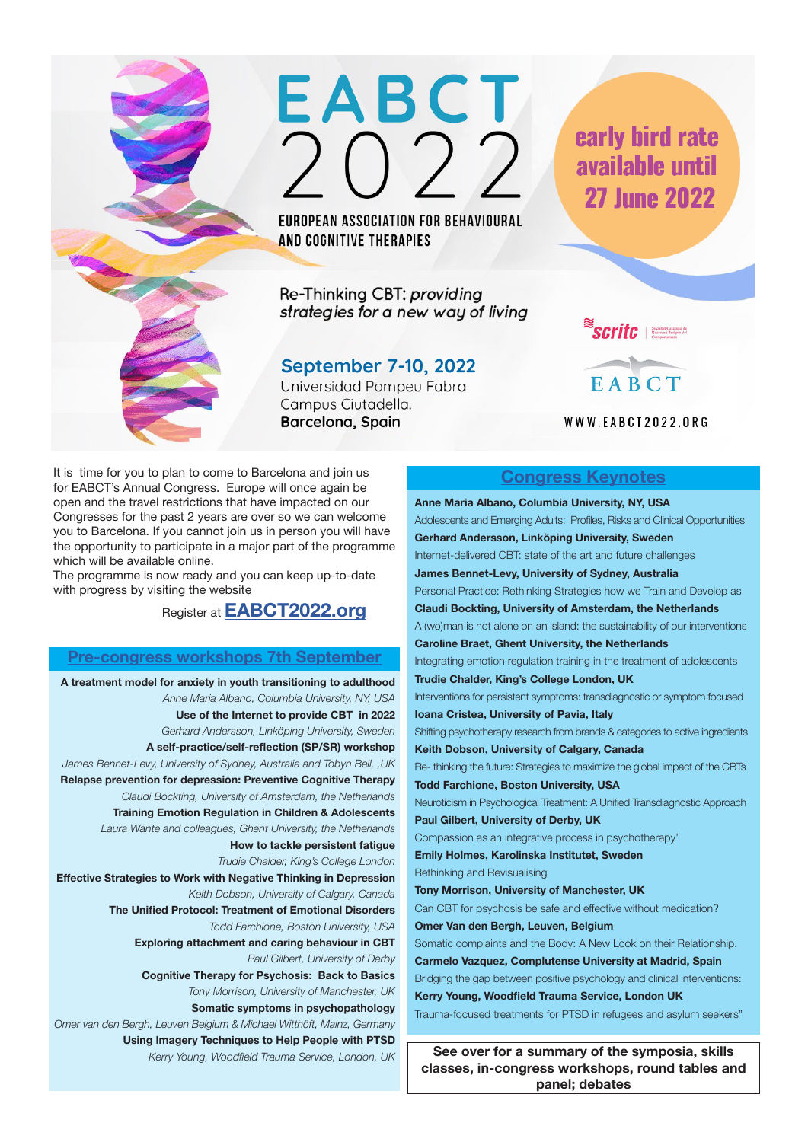

EUROPEAN ASSOCIATION FOR BEHAVIOURAL AND COGNITIVE THERAPIES

Re-Thinking CBT: providing strategies for a new way of living

# September 7-10, 2022

Universidad Pompeu Fabra Campus Ciutadella. Barcelona, Spain

early bird rate available until **27 June 2022** 

 $\rightarrow$ 



WWW.EABCT2022.ORG

It is time for you to plan to come to Barcelona and join us for EABCT's Annual Congress. Europe will once again be open and the travel restrictions that have impacted on our Congresses for the past 2 years are over so we can welcome you to Barcelona. If you cannot join us in person you will have the opportunity to participate in a major part of the programme which will be available online.

The programme is now ready and you can keep up-to-date with progress by visiting the website

Register at **EABCT2022.org**

## **Pre-congress workshops 7th September**

**A treatment model for anxiety in youth transitioning to adulthood** *Anne Maria Albano, Columbia University, NY, USA*  **Use of the Internet to provide CBT in 2022** *Gerhard Andersson, Linköping University, Sweden* **A self-practice/self-reflection (SP/SR) workshop**  *James Bennet-Levy, University of Sydney, Australia and Tobyn Bell, ,UK* **Relapse prevention for depression: Preventive Cognitive Therapy** *Claudi Bockting, University of Amsterdam, the Netherlands* **Training Emotion Regulation in Children & Adolescents** *Laura Wante and colleagues, Ghent University, the Netherlands*  **How to tackle persistent fatigue** *Trudie Chalder, King's College London* **Effective Strategies to Work with Negative Thinking in Depression** *Keith Dobson, University of Calgary, Canada* **The Unified Protocol: Treatment of Emotional Disorders** *Todd Farchione, Boston University, USA*  **Exploring attachment and caring behaviour in CBT** *Paul Gilbert, University of Derby* **Cognitive Therapy for Psychosis: Back to Basics** *Tony Morrison, University of Manchester, UK* **Somatic symptoms in psychopathology** *Omer van den Bergh, Leuven Belgium & Michael Witthöft, Mainz, Germany* **Using Imagery Techniques to Help People with PTSD** *Kerry Young, Woodfield Trauma Service, London, UK*

## **Congress Keynotes**

**Anne Maria Albano, Columbia University, NY, USA**  Adolescents and Emerging Adults: Profiles, Risks and Clinical Opportunities **Gerhard Andersson, Linköping University, Sweden** Internet-delivered CBT: state of the art and future challenges **James Bennet-Levy, University of Sydney, Australia**  Personal Practice: Rethinking Strategies how we Train and Develop as **Claudi Bockting, University of Amsterdam, the Netherlands** A (wo)man is not alone on an island: the sustainability of our interventions **Caroline Braet, Ghent University, the Netherlands**  Integrating emotion regulation training in the treatment of adolescents **Trudie Chalder, King's College London, UK** Interventions for persistent symptoms: transdiagnostic or symptom focused **Ioana Cristea, University of Pavia, Italy** Shifting psychotherapy research from brands & categories to active ingredients **Keith Dobson, University of Calgary, Canada** Re- thinking the future: Strategies to maximize the global impact of the CBTs **Todd Farchione, Boston University, USA** Neuroticism in Psychological Treatment: A Unified Transdiagnostic Approach **Paul Gilbert, University of Derby, UK** Compassion as an integrative process in psychotherapy' **Emily Holmes, Karolinska Institutet, Sweden** Rethinking and Revisualising **Tony Morrison, University of Manchester, UK** Can CBT for psychosis be safe and effective without medication? **Omer Van den Bergh, Leuven, Belgium** Somatic complaints and the Body: A New Look on their Relationship. **Carmelo Vazquez, Complutense University at Madrid, Spain** Bridging the gap between positive psychology and clinical interventions: **Kerry Young, Woodfield Trauma Service, London UK** Trauma-focused treatments for PTSD in refugees and asylum seekers" **See over for a summary of the symposia, skills** 

**classes, in-congress workshops, round tables and panel; debates**